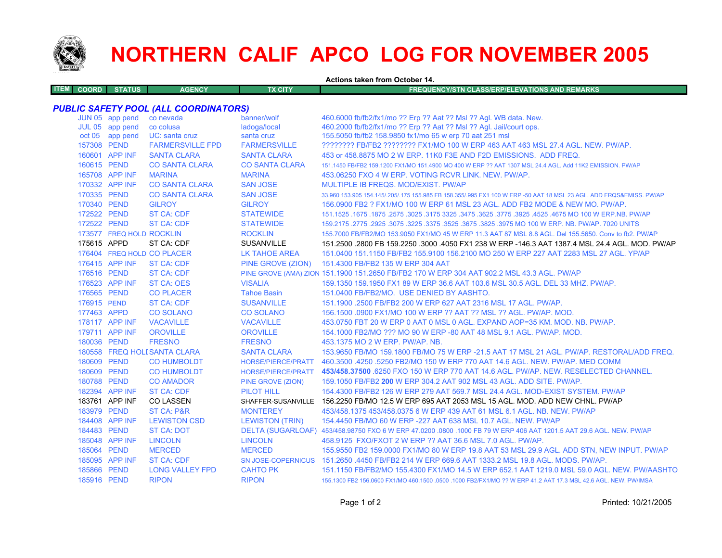

## **NORTHERN CALIF APCO LOG FOR NOVEMBER 2005**

**Actions taken from October 14.**

**ITEM COORD STATUS AGENCY TX CITY FREQUENCY/STN CLASS/ERP/ELEVATIONS AND REMARKSPUBLIC SAFETY POOL (ALL COORDINATORS)**<br>JUN 05 app pend co nevada banner/wolf<br>JUL 05 app pend co colusa ladoga/local banner/wolf 460.6000 fb/fb2/fx1/mo ?? Erp ?? Aat ?? Msl ?? Agl. WB data. New.<br>Jadoga/local 460.2000 fb/fb2/fx1/mo ?? Erp ?? Aat ?? Msl ?? Agl. Jail/court ons JUL 05 app pend co colusa ladoga/local 460.2000 fb/fb2/fx1/mo ?? Erp ?? Aat ?? Msl ?? Agl. Jail/court ops.

|             | $00 - 00$ upp point      | <b>UU UUIUUU</b>             | <u>iduoya</u> noodi       |                                                                                                                     |
|-------------|--------------------------|------------------------------|---------------------------|---------------------------------------------------------------------------------------------------------------------|
|             | oct 05 app pend          | UC: santa cruz               | santa cruz                | 155.5050 fb/fb2 158.9850 fx1/mo 65 w erp 70 aat 251 msl                                                             |
| 157308 PEND |                          | <b>FARMERSVILLE FPD</b>      | <b>FARMERSVILLE</b>       | ???????? FB/FB2 ???????? FX1/MO 100 W ERP 463 AAT 463 MSL 27.4 AGL. NEW. PW/AP.                                     |
|             | 160601 APP INF           | <b>SANTA CLARA</b>           | <b>SANTA CLARA</b>        | 453 or 458,8875 MO 2 W ERP, 11K0 F3E AND F2D EMISSIONS. ADD FREQ.                                                   |
| 160615 PEND |                          | <b>CO SANTA CLARA</b>        | <b>CO SANTA CLARA</b>     | 151.1450 FB/FB2 159.1200 FX1/MO 151.4900 MO 400 W ERP ?? AAT 1307 MSL 24.4 AGL, Add 11K2 EMISSION, PW/AP            |
|             | 165708 APP INF           | <b>MARINA</b>                | <b>MARINA</b>             | 453.06250 FXO 4 W ERP. VOTING RCVR LINK, NEW, PW/AP.                                                                |
|             | 170332 APP INF           | <b>CO SANTA CLARA</b>        | <b>SAN JOSE</b>           | MULTIPLE IB FREQS, MOD/EXIST, PW/AP                                                                                 |
| 170335 PEND |                          | <b>CO SANTA CLARA</b>        | <b>SAN JOSE</b>           | 33.960 153.905 154.145/.205/.175 155.985 FB 158.355/.995 FX1 100 W ERP -50 AAT 18 MSL 23 AGL. ADD FRQS&EMISS. PW/AP |
| 170340 PEND |                          | <b>GILROY</b>                | <b>GILROY</b>             | 156,0900 FB2 ? FX1/MO 100 W ERP 61 MSL 23 AGL. ADD FB2 MODE & NEW MO. PW/AP.                                        |
| 172522 PEND |                          | <b>ST CA: CDF</b>            | <b>STATEWIDE</b>          | 151.1525 .1675 NO 100 W ERP.NB. PW/AP 3325 .3475 .3625 .3775 .3775 .3925 .4675 MO 100 W ERP.NB. PW/AP               |
| 172522 PEND |                          | ST CA: CDF                   | <b>STATEWIDE</b>          | 159.2175 .2775 .2925 .3075 .3225 .3675 .3675 .3625 .3975 MO 100 W ERP. NB. PW/AP. 7020 UNITS                        |
|             | 173577 FREQ HOLD ROCKLIN |                              | <b>ROCKLIN</b>            | 155.7000 FB/FB2/MO 153.9050 FX1/MO 45 W ERP 11.3 AAT 87 MSL 8.8 AGL. Del 155.5650. Conv to fb2. PW/AP               |
| 175615 APPD |                          | ST CA: CDF                   | <b>SUSANVILLE</b>         | 151.2500 .2800 FB 159.2250 .3000 .4050 FX1 238 W ERP -146.3 AAT 1387.4 MSL 24.4 AGL. MOD. PW/AP                     |
|             |                          | 176404 FREQ HOLD CO PLACER   | <b>LK TAHOE AREA</b>      | 151,0400 151,1150 FB/FB2 155,9100 156,2100 MO 250 W ERP 227 AAT 2283 MSL 27 AGL, YP/AP                              |
|             | 176415 APP INF           | <b>ST CA: CDF</b>            | PINE GROVE (ZION)         | 151.4300 FB/FB2 135 W ERP 304 AAT                                                                                   |
| 176516 PEND |                          | <b>ST CA: CDF</b>            |                           | PINE GROVE (AMA) ZION 151.1900 151.2650 FB/FB2 170 W ERP 304 AAT 902.2 MSL 43.3 AGL. PW/AP                          |
|             | 176523 APP INF           | <b>ST CA: OES</b>            | <b>VISALIA</b>            | 159.1350 159.1950 FX1 89 W ERP 36.6 AAT 103.6 MSL 30.5 AGL, DEL 33 MHZ, PW/AP,                                      |
| 176565 PEND |                          | <b>CO PLACER</b>             | <b>Tahoe Basin</b>        | 151.0400 FB/FB2/MO. USE DENIED BY AASHTO.                                                                           |
| 176915 PEND |                          | ST CA: CDF                   | <b>SUSANVILLE</b>         | 151.1900 .2500 FB/FB2 200 W ERP 627 AAT 2316 MSL 17 AGL, PW/AP.                                                     |
| 177463 APPD |                          | <b>CO SOLANO</b>             | <b>CO SOLANO</b>          | 156.1500 .0900 FX1/MO 100 W ERP ?? AAT ?? MSL ?? AGL. PW/AP. MOD.                                                   |
|             | 178117 APP INF           | <b>VACAVILLE</b>             | <b>VACAVILLE</b>          | 453.0750 FBT 20 W ERP 0 AAT 0 MSL 0 AGL. EXPAND AOP=35 KM, MOD, NB, PW/AP,                                          |
|             | 179711 APP INF           | <b>OROVILLE</b>              | <b>OROVILLE</b>           | 154,1000 FB2/MO ??? MO 90 W ERP -80 AAT 48 MSL 9.1 AGL, PW/AP, MOD.                                                 |
| 180036 PEND |                          | <b>FRESNO</b>                | <b>FRESNO</b>             | 453.1375 MO 2 W ERP. PW/AP. NB.                                                                                     |
|             |                          | 180558 FREQ HOLI SANTA CLARA | <b>SANTA CLARA</b>        | 153.9650 FB/MO 159.1800 FB/MO 75 W ERP -21.5 AAT 17 MSL 21 AGL. PW/AP. RESTORAL/ADD FREQ.                           |
| 180609 PEND |                          | <b>CO HUMBOLDT</b>           | HORSE/PIERCE/PRATT        | 460.3500 .4250 .5250 FB2/MO 150 W ERP 770 AAT 14.6 AGL, NEW, PW/AP, MED COMM                                        |
| 180609 PEND |                          | <b>CO HUMBOLDT</b>           | <b>HORSE/PIERCE/PRATT</b> | 453/458.37500 6250 FXO 150 W ERP 770 AAT 14.6 AGL. PW/AP. NEW. RESELECTED CHANNEL.                                  |
| 180788 PEND |                          | <b>CO AMADOR</b>             | PINE GROVE (ZION)         | 159.1050 FB/FB2 200 W ERP 304.2 AAT 902 MSL 43 AGL, ADD SITE, PW/AP.                                                |
|             | 182394 APP INF           | ST CA: CDF                   | <b>PILOT HILL</b>         | 154,4300 FB/FB2 126 W ERP 279 AAT 569.7 MSL 24.4 AGL, MOD-EXIST SYSTEM, PW/AP                                       |
|             | 183761 APP INF           | <b>CO LASSEN</b>             | SHAFFER-SUSANVILLE        | 156.2250 FB/MO 12.5 W ERP 695 AAT 2053 MSL 15 AGL. MOD. ADD NEW CHNL. PW/AP                                         |
| 183979 PEND |                          | <b>ST CA: P&amp;R</b>        | <b>MONTEREY</b>           | 453/458.1375 453/458.0375 6 W ERP 439 AAT 61 MSL 6.1 AGL, NB, NEW, PW/AP                                            |
|             | 184408 APP INF           | <b>LEWISTON CSD</b>          | <b>LEWISTON (TRIN)</b>    | 154,4450 FB/MO 60 W ERP -227 AAT 638 MSL 10.7 AGL, NEW, PW/AP                                                       |
| 184483 PEND |                          | <b>ST CA: DOT</b>            |                           | DELTA (SUGARLOAF) 453/458.98750 FXO 6 W ERP 47.0200 .0800 .1000 FB 79 W ERP 406 AAT 1201.5 AAT 29.6 AGL. NEW. PW/AP |
|             | 185048 APP INF           | <b>LINCOLN</b>               | <b>LINCOLN</b>            | 458.9125 FXO/FXOT 2 W ERP ?? AAT 36.6 MSL 7.0 AGL, PW/AP.                                                           |
| 185064 PEND |                          | <b>MERCED</b>                | <b>MERCED</b>             | 155.9550 FB2 159.0000 FX1/MO 80 W ERP 19.8 AAT 53 MSL 29.9 AGL. ADD STN, NEW INPUT. PW/AP                           |
|             | 185095 APP INF           | <b>ST CA: CDF</b>            |                           | SN JOSE-COPERNICUS 151.2650 .4450 FB/FB2 214 W ERP 669.6 AAT 1333.2 MSL 19.8 AGL, MODS, PW/AP,                      |
| 185866 PEND |                          | <b>LONG VALLEY FPD</b>       | <b>CAHTO PK</b>           | 151.1150 FB/FB2/MO 155.4300 FX1/MO 14.5 W ERP 652.1 AAT 1219.0 MSL 59.0 AGL. NEW. PW/AASHTO                         |
| 185916 PEND |                          | <b>RIPON</b>                 | <b>RIPON</b>              | 155.1300 FB2 156.0600 FX1/MO 460.1500 .0500 .1000 FB2/FX1/MO ?? W ERP 41.2 AAT 17.3 MSL 42.6 AGL. NEW. PW/IMSA      |
|             |                          |                              |                           |                                                                                                                     |